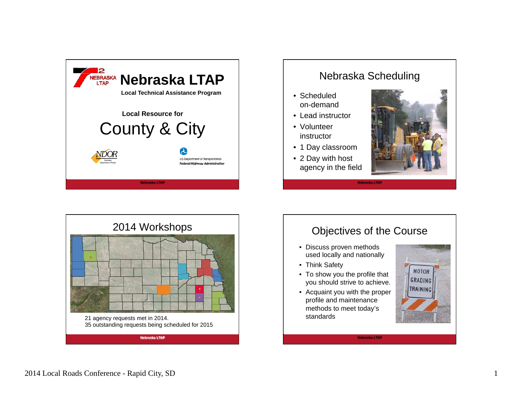



Nebraska Scheduling



#### Objectives of the Course

- Discuss proven methods used locally and nationally
- Think Safety
- To show you the profile that you should strive to achieve.
- Acquaint you with the proper profile and maintenance methods to meet today's standards



**Nebraska LTAP**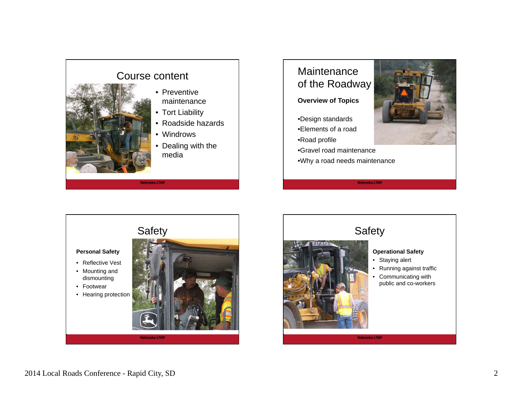

## **Maintenance** of the Roadway

#### **Overview of Topics**

- •Design standards
- •Elements of a road
- •Road profile
- •Gravel road maintenance
- •Why a road needs maintenance









### Safety

- **Operational Safety**
- Staying alert
- Running against traffic
- Communicating with public and co-workers

**Nebraska LTAP**